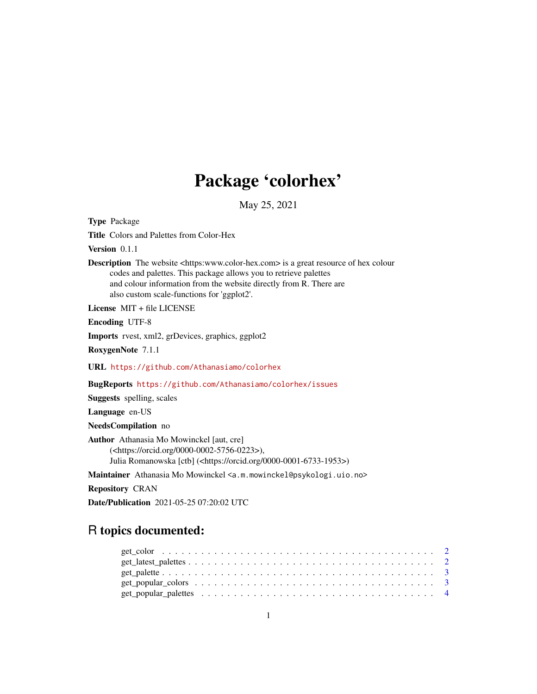## Package 'colorhex'

May 25, 2021

<span id="page-0-0"></span>Type Package

Title Colors and Palettes from Color-Hex

Version 0.1.1

Description The website <https:www.color-hex.com> is a great resource of hex colour codes and palettes. This package allows you to retrieve palettes and colour information from the website directly from R. There are also custom scale-functions for 'ggplot2'.

License MIT + file LICENSE

Encoding UTF-8

Imports rvest, xml2, grDevices, graphics, ggplot2

RoxygenNote 7.1.1

URL <https://github.com/Athanasiamo/colorhex>

BugReports <https://github.com/Athanasiamo/colorhex/issues>

Suggests spelling, scales

Language en-US

NeedsCompilation no

Author Athanasia Mo Mowinckel [aut, cre] (<https://orcid.org/0000-0002-5756-0223>), Julia Romanowska [ctb] (<https://orcid.org/0000-0001-6733-1953>)

Maintainer Athanasia Mo Mowinckel <a.m.mowinckel@psykologi.uio.no>

Repository CRAN

Date/Publication 2021-05-25 07:20:02 UTC

### R topics documented: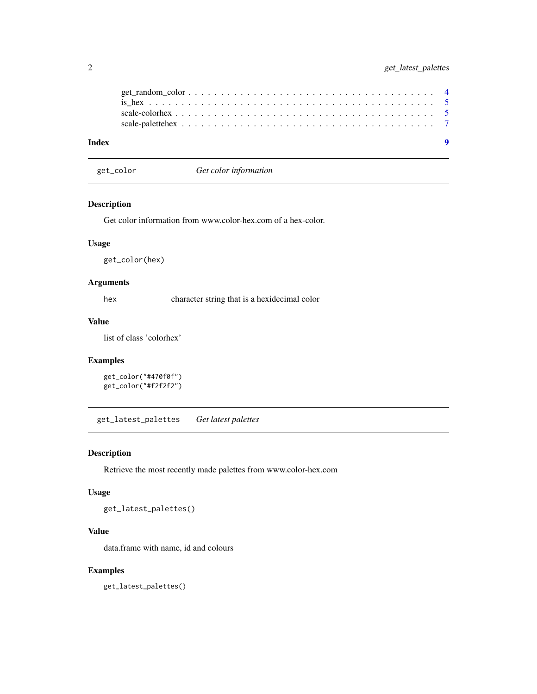<span id="page-1-0"></span>

| Index |  |  |  |  |  |  |  |  |  |  |  |  |  |  |  |  | $\bullet$ |
|-------|--|--|--|--|--|--|--|--|--|--|--|--|--|--|--|--|-----------|

get\_color *Get color information*

#### Description

Get color information from www.color-hex.com of a hex-color.

#### Usage

get\_color(hex)

#### Arguments

hex character string that is a hexidecimal color

#### Value

list of class 'colorhex'

#### Examples

```
get_color("#470f0f")
get_color("#f2f2f2")
```
get\_latest\_palettes *Get latest palettes*

#### Description

Retrieve the most recently made palettes from www.color-hex.com

#### Usage

get\_latest\_palettes()

#### Value

data.frame with name, id and colours

#### Examples

get\_latest\_palettes()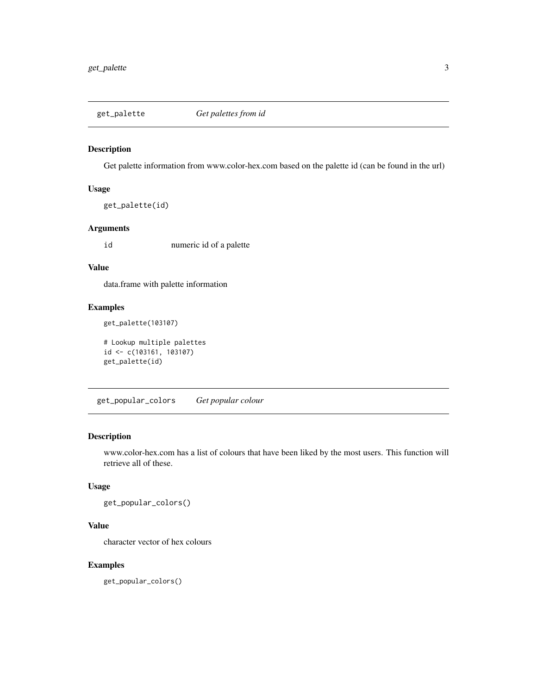<span id="page-2-0"></span>

Get palette information from www.color-hex.com based on the palette id (can be found in the url)

#### Usage

```
get_palette(id)
```
#### Arguments

id numeric id of a palette

#### Value

data.frame with palette information

#### Examples

```
get_palette(103107)
```

```
# Lookup multiple palettes
id <- c(103161, 103107)
get_palette(id)
```
get\_popular\_colors *Get popular colour*

#### Description

www.color-hex.com has a list of colours that have been liked by the most users. This function will retrieve all of these.

#### Usage

get\_popular\_colors()

#### Value

character vector of hex colours

#### Examples

get\_popular\_colors()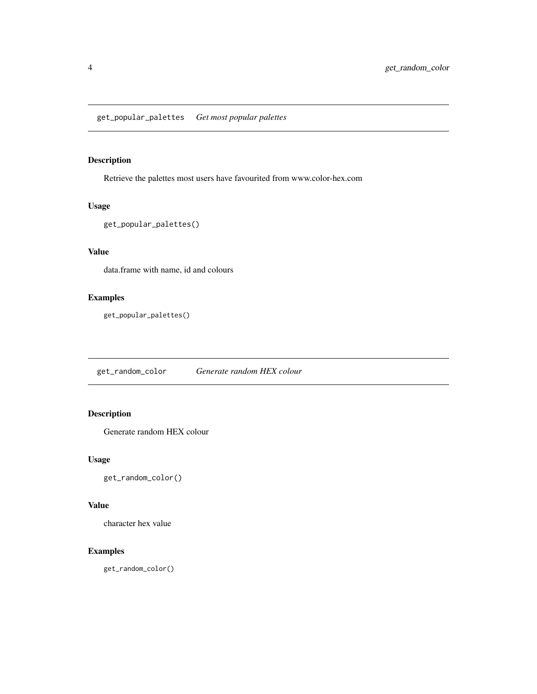<span id="page-3-0"></span>Retrieve the palettes most users have favourited from www.color-hex.com

#### Usage

```
get_popular_palettes()
```
#### Value

data.frame with name, id and colours

#### Examples

```
get_popular_palettes()
```
get\_random\_color *Generate random HEX colour*

#### Description

Generate random HEX colour

#### Usage

get\_random\_color()

#### Value

character hex value

#### Examples

get\_random\_color()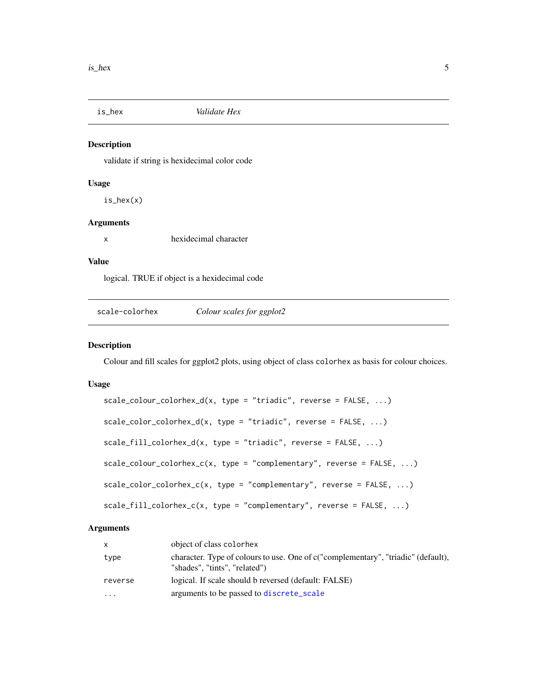<span id="page-4-0"></span>

validate if string is hexidecimal color code

#### Usage

is\_hex(x)

#### Arguments

x hexidecimal character

#### Value

logical. TRUE if object is a hexidecimal code

scale-colorhex *Colour scales for ggplot2*

#### Description

Colour and fill scales for ggplot2 plots, using object of class colorhex as basis for colour choices.

#### Usage

```
scale\_colour\_colorhex_d(x, type = "triadic", reverse = FALSE, ...)scale\_color\_colorscale_fill\_colorhex_d(x, type = "triadic", reverse = FALSE, ...)scale\_colour\_colorhex\_c(x, type = "complementary", reverse = FALSE, ...)scale_color_colorhex_c(x, type = "complementary", reverse = FALSE, ...)
scale_fill_colorhex_c(x, type = "complementary", reverse = FALSE, ...)
```
#### Arguments

| $\mathsf{x}$            | object of class colorhex                                                                                           |
|-------------------------|--------------------------------------------------------------------------------------------------------------------|
| type                    | character. Type of colours to use. One of c("complementary", "triadic" (default),<br>"shades", "tints", "related") |
| reverse                 | logical. If scale should b reversed (default: FALSE)                                                               |
| $\cdot$ $\cdot$ $\cdot$ | arguments to be passed to discrete_scale                                                                           |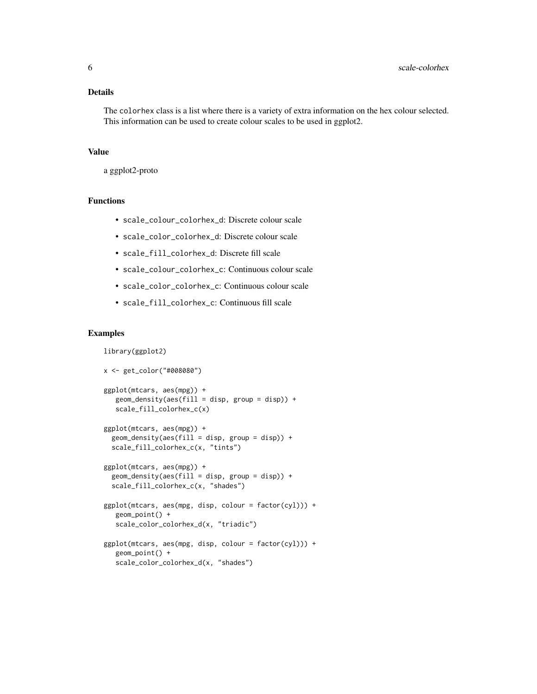#### Details

The colorhex class is a list where there is a variety of extra information on the hex colour selected. This information can be used to create colour scales to be used in ggplot2.

#### Value

a ggplot2-proto

#### Functions

- scale\_colour\_colorhex\_d: Discrete colour scale
- scale\_color\_colorhex\_d: Discrete colour scale
- scale\_fill\_colorhex\_d: Discrete fill scale
- scale\_colour\_colorhex\_c: Continuous colour scale
- scale\_color\_colorhex\_c: Continuous colour scale
- scale\_fill\_colorhex\_c: Continuous fill scale

#### Examples

```
library(ggplot2)
x <- get_color("#008080")
ggplot(mtcars, aes(mpg)) +
   geom\_density(aes(fill = disp, group = disp)) +scale_fill_colorhex_c(x)
ggplot(mtcars, aes(mpg)) +
  geom_density(aes(fill = disp, group = disp)) +
  scale_fill_colorhex_c(x, "tints")
ggplot(mtcars, aes(mpg)) +
  geom_density(aes(fill = disp, group = disp)) +
  scale_fill_colorhex_c(x, "shades")
ggplot(mtcars, aes(mpg, disp, colour = factor(cyl))) +
   geom_point() +
   scale_color_colorhex_d(x, "triadic")
ggplot(mtcars, aes(mpg, disp, colour = factor(cyl))) +
   geom_point() +
   scale_color_colorhex_d(x, "shades")
```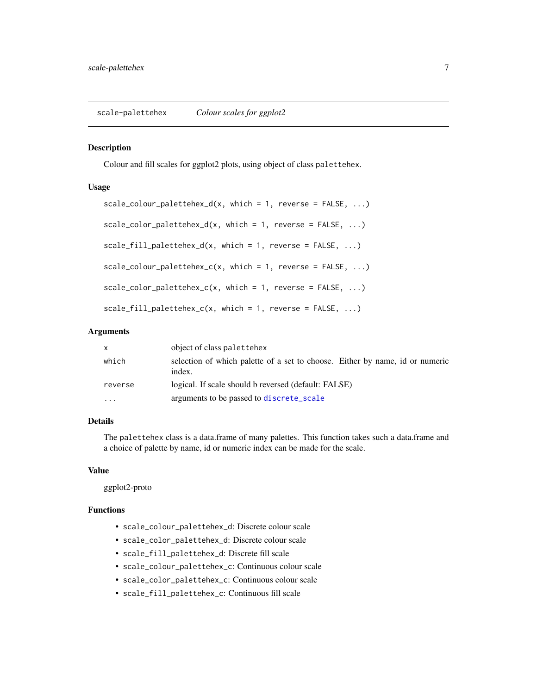<span id="page-6-0"></span>Colour and fill scales for ggplot2 plots, using object of class palettehex.

#### Usage

```
scale\_colour\_palettehex_d(x, which = 1, reverse = FALSE, ...)scale\_color\_palettehex_d(x, which = 1, reverse = FALSE, ...)scale_fill\_palettehex_d(x, which = 1, reverse = FALSE, ...)scale\_colour\_palettehex_c(x, which = 1, reverse = FALSE, ...)scale\_color\_palettehex_c(x, which = 1, reverse = FALSE, ...)scale_fill\_palettehex_c(x, which = 1, reverse = FALSE, ...)
```
#### Arguments

| $\mathsf{x}$ | object of class palettehex                                                             |
|--------------|----------------------------------------------------------------------------------------|
| which        | selection of which palette of a set to choose. Either by name, id or numeric<br>index. |
| reverse      | logical. If scale should b reversed (default: FALSE)                                   |
| $\cdot$      | arguments to be passed to discrete_scale                                               |

#### Details

The palettehex class is a data.frame of many palettes. This function takes such a data.frame and a choice of palette by name, id or numeric index can be made for the scale.

#### Value

ggplot2-proto

#### Functions

- scale\_colour\_palettehex\_d: Discrete colour scale
- scale\_color\_palettehex\_d: Discrete colour scale
- scale\_fill\_palettehex\_d: Discrete fill scale
- scale\_colour\_palettehex\_c: Continuous colour scale
- scale\_color\_palettehex\_c: Continuous colour scale
- scale\_fill\_palettehex\_c: Continuous fill scale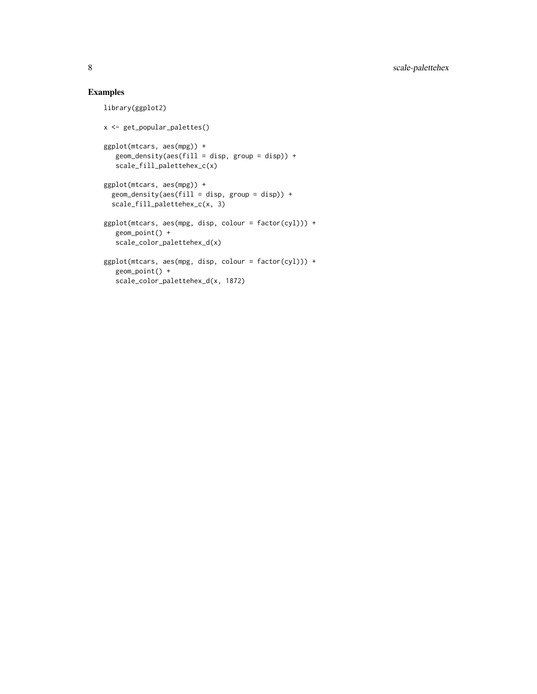#### Examples

```
library(ggplot2)
x <- get_popular_palettes()
ggplot(mtcars, aes(mpg)) +
   geom_density(aes(fill = disp, group = disp)) +
   scale_fill_palettehex_c(x)
ggplot(mtcars, aes(mpg)) +
  geom_density(aes(fill = disp, group = disp)) +
  scale_fill_palettehex_c(x, 3)
ggplot(mtcars, aes(mpg, disp, colour = factor(cyl))) +
   geom_point() +
   scale_color_palettehex_d(x)
ggplot(mtcars, aes(mpg, disp, colour = factor(cyl))) +
   geom_point() +
   scale_color_palettehex_d(x, 1872)
```